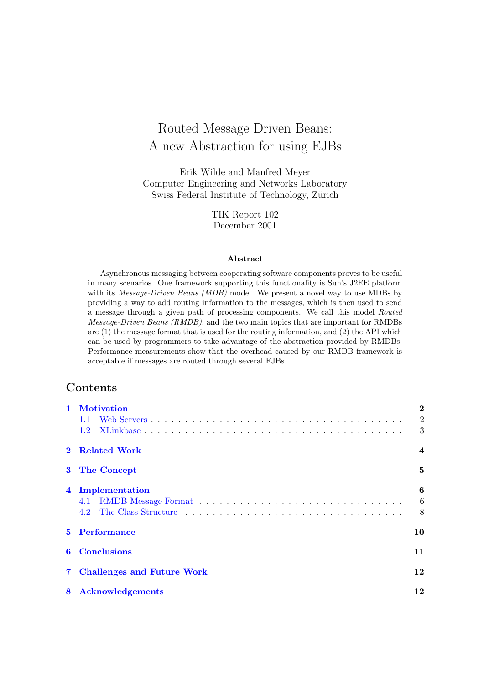# Routed Message Driven Beans: A new Abstraction for using EJBs

Erik Wilde and Manfred Meyer Computer Engineering and Networks Laboratory Swiss Federal Institute of Technology, Zürich

> TIK Report 102 December 2001

#### Abstract

Asynchronous messaging between cooperating software components proves to be useful in many scenarios. One framework supporting this functionality is Sun's J2EE platform with its *Message-Driven Beans (MDB)* model. We present a novel way to use MDBs by providing a way to add routing information to the messages, which is then used to send a message through a given path of processing components. We call this model Routed Message-Driven Beans (RMDB), and the two main topics that are important for RMDBs are (1) the message format that is used for the routing information, and (2) the API which can be used by programmers to take advantage of the abstraction provided by RMDBs. Performance measurements show that the overhead caused by our RMDB framework is acceptable if messages are routed through several EJBs.

# Contents

|                | <b>Motivation</b>                                                                                         | $\overline{2}$ |  |
|----------------|-----------------------------------------------------------------------------------------------------------|----------------|--|
|                |                                                                                                           | $\overline{2}$ |  |
|                | 1.2                                                                                                       | 3              |  |
|                | <b>Related Work</b>                                                                                       | $\overline{4}$ |  |
|                | 3 The Concept                                                                                             | 5              |  |
| $\overline{4}$ | Implementation                                                                                            | 6              |  |
|                | RMDB Message Format $\ldots \ldots \ldots \ldots \ldots \ldots \ldots \ldots \ldots \ldots \ldots$<br>4.1 | 6              |  |
|                | 4.2                                                                                                       | 8              |  |
| $5^{\circ}$    | <b>Performance</b><br>10                                                                                  |                |  |
| 6              | <b>Conclusions</b><br>11                                                                                  |                |  |
|                | 12<br><b>Challenges and Future Work</b>                                                                   |                |  |
| 8              | 12<br><b>Acknowledgements</b>                                                                             |                |  |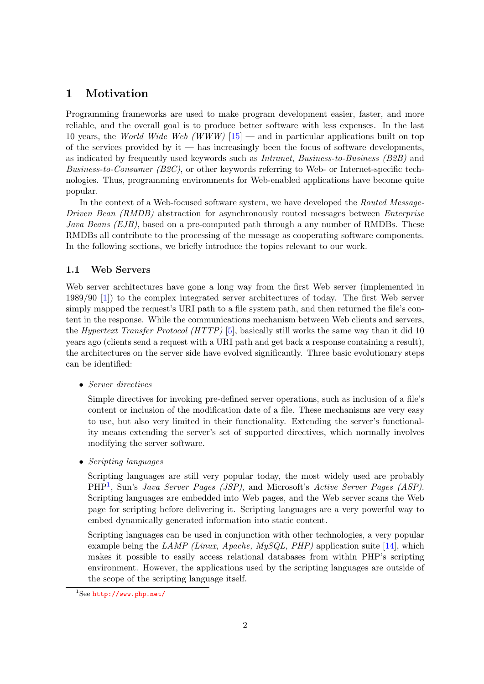# <span id="page-1-0"></span>1 Motivation

Programming frameworks are used to make program development easier, faster, and more reliable, and the overall goal is to produce better software with less expenses. In the last 10 years, the World Wide Web (WWW)  $[15]$  — and in particular applications built on top of the services provided by it — has increasingly been the focus of software developments, as indicated by frequently used keywords such as Intranet, Business-to-Business (B2B) and Business-to-Consumer (B2C), or other keywords referring to Web- or Internet-specific technologies. Thus, programming environments for Web-enabled applications have become quite popular.

In the context of a Web-focused software system, we have developed the Routed Message-Driven Bean (RMDB) abstraction for asynchronously routed messages between *Enterprise* Java Beans (EJB), based on a pre-computed path through a any number of RMDBs. These RMDBs all contribute to the processing of the message as cooperating software components. In the following sections, we briefly introduce the topics relevant to our work.

#### 1.1 Web Servers

Web server architectures have gone a long way from the first Web server (implemented in 1989/90 [\[1\]](#page-11-0)) to the complex integrated server architectures of today. The first Web server simply mapped the request's URI path to a file system path, and then returned the file's content in the response. While the communications mechanism between Web clients and servers, the *Hypertext Transfer Protocol (HTTP)* [\[5\]](#page-12-0), basically still works the same way than it did 10 years ago (clients send a request with a URI path and get back a response containing a result), the architectures on the server side have evolved significantly. Three basic evolutionary steps can be identified:

• Server directives

Simple directives for invoking pre-defined server operations, such as inclusion of a file's content or inclusion of the modification date of a file. These mechanisms are very easy to use, but also very limited in their functionality. Extending the server's functionality means extending the server's set of supported directives, which normally involves modifying the server software.

• Scripting languages

Scripting languages are still very popular today, the most widely used are probably PHP<sup>1</sup>, Sun's Java Server Pages (JSP), and Microsoft's Active Server Pages (ASP). Scripting languages are embedded into Web pages, and the Web server scans the Web page for scripting before delivering it. Scripting languages are a very powerful way to embed dynamically generated information into static content.

Scripting languages can be used in conjunction with other technologies, a very popular example being the LAMP (Linux, Apache, MySQL, PHP) application suite  $[14]$ , which makes it possible to easily access relational databases from within PHP's scripting environment. However, the applications used by the scripting languages are outside of the scope of the scripting language itself.

 $1$ See <http://www.php.net/>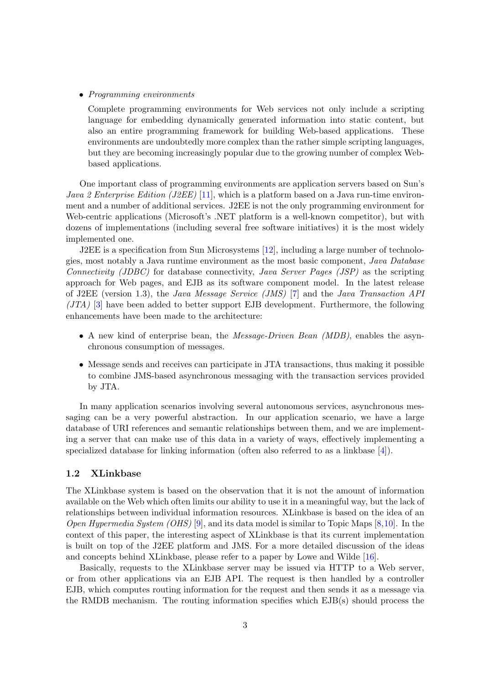#### <span id="page-2-0"></span>• Programming environments

Complete programming environments for Web services not only include a scripting language for embedding dynamically generated information into static content, but also an entire programming framework for building Web-based applications. These environments are undoubtedly more complex than the rather simple scripting languages, but they are becoming increasingly popular due to the growing number of complex Webbased applications.

One important class of programming environments are application servers based on Sun's *Java 2 Enterprise Edition (J2EE)* [\[11\]](#page-12-0), which is a platform based on a Java run-time environment and a number of additional services. J2EE is not the only programming environment for Web-centric applications (Microsoft's .NET platform is a well-known competitor), but with dozens of implementations (including several free software initiatives) it is the most widely implemented one.

J2EE is a specification from Sun Microsystems [\[12\]](#page-12-0), including a large number of technologies, most notably a Java runtime environment as the most basic component, Java Database Connectivity (JDBC) for database connectivity, Java Server Pages (JSP) as the scripting approach for Web pages, and EJB as its software component model. In the latest release of J2EE (version 1.3), the Java Message Service (JMS) [\[7\]](#page-12-0) and the Java Transaction API  $(JTA)$  [\[3\]](#page-11-0) have been added to better support EJB development. Furthermore, the following enhancements have been made to the architecture:

- A new kind of enterprise bean, the Message-Driven Bean (MDB), enables the asynchronous consumption of messages.
- Message sends and receives can participate in JTA transactions, thus making it possible to combine JMS-based asynchronous messaging with the transaction services provided by JTA.

In many application scenarios involving several autonomous services, asynchronous messaging can be a very powerful abstraction. In our application scenario, we have a large database of URI references and semantic relationships between them, and we are implementing a server that can make use of this data in a variety of ways, effectively implementing a specialized database for linking information (often also referred to as a linkbase [\[4\]](#page-12-0)).

#### 1.2 XLinkbase

The XLinkbase system is based on the observation that it is not the amount of information available on the Web which often limits our ability to use it in a meaningful way, but the lack of relationships between individual information resources. XLinkbase is based on the idea of an *Open Hypermedia System (OHS)* [\[9\]](#page-12-0), and its data model is similar to Topic Maps [\[8,10\]](#page-12-0). In the context of this paper, the interesting aspect of XLinkbase is that its current implementation is built on top of the J2EE platform and JMS. For a more detailed discussion of the ideas and concepts behind XLinkbase, please refer to a paper by Lowe and Wilde [\[16\]](#page-12-0).

Basically, requests to the XLinkbase server may be issued via HTTP to a Web server, or from other applications via an EJB API. The request is then handled by a controller EJB, which computes routing information for the request and then sends it as a message via the RMDB mechanism. The routing information specifies which EJB(s) should process the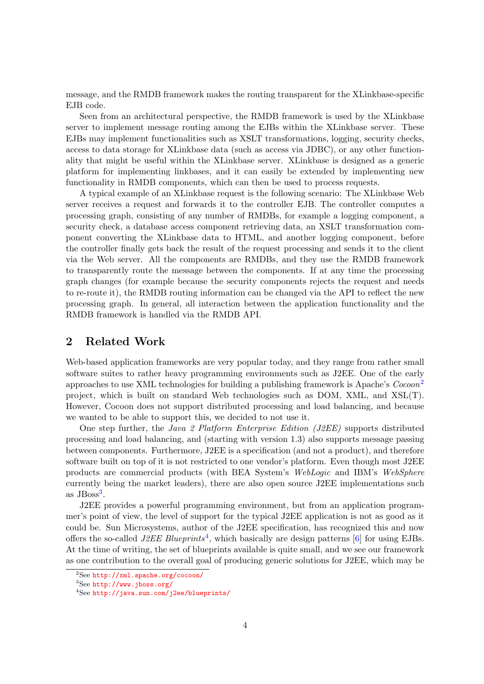<span id="page-3-0"></span>message, and the RMDB framework makes the routing transparent for the XLinkbase-specific EJB code.

Seen from an architectural perspective, the RMDB framework is used by the XLinkbase server to implement message routing among the EJBs within the XLinkbase server. These EJBs may implement functionalities such as XSLT transformations, logging, security checks, access to data storage for XLinkbase data (such as access via JDBC), or any other functionality that might be useful within the XLinkbase server. XLinkbase is designed as a generic platform for implementing linkbases, and it can easily be extended by implementing new functionality in RMDB components, which can then be used to process requests.

A typical example of an XLinkbase request is the following scenario: The XLinkbase Web server receives a request and forwards it to the controller EJB. The controller computes a processing graph, consisting of any number of RMDBs, for example a logging component, a security check, a database access component retrieving data, an XSLT transformation component converting the XLinkbase data to HTML, and another logging component, before the controller finally gets back the result of the request processing and sends it to the client via the Web server. All the components are RMDBs, and they use the RMDB framework to transparently route the message between the components. If at any time the processing graph changes (for example because the security components rejects the request and needs to re-route it), the RMDB routing information can be changed via the API to reflect the new processing graph. In general, all interaction between the application functionality and the RMDB framework is handled via the RMDB API.

# 2 Related Work

Web-based application frameworks are very popular today, and they range from rather small software suites to rather heavy programming environments such as J2EE. One of the early approaches to use XML technologies for building a publishing framework is Apache's  $C_{0}$ project, which is built on standard Web technologies such as DOM, XML, and XSL(T). However, Cocoon does not support distributed processing and load balancing, and because we wanted to be able to support this, we decided to not use it.

One step further, the Java 2 Platform Enterprise Edition (J2EE) supports distributed processing and load balancing, and (starting with version 1.3) also supports message passing between components. Furthermore, J2EE is a specification (and not a product), and therefore software built on top of it is not restricted to one vendor's platform. Even though most J2EE products are commercial products (with BEA System's WebLogic and IBM's WebSphere currently being the market leaders), there are also open source J2EE implementations such as  $JB<sub>oss</sub><sup>3</sup>$ .

J2EE provides a powerful programming environment, but from an application programmer's point of view, the level of support for the typical J2EE application is not as good as it could be. Sun Microsystems, author of the J2EE specification, has recognized this and now offers the so-called *J2EE Blueprints*<sup>4</sup>, which basically are design patterns [\[6\]](#page-12-0) for using EJBs. At the time of writing, the set of blueprints available is quite small, and we see our framework as one contribution to the overall goal of producing generic solutions for J2EE, which may be

<sup>2</sup>See <http://xml.apache.org/cocoon/>

<sup>3</sup>See <http://www.jboss.org/>

<sup>4</sup>See <http://java.sun.com/j2ee/blueprints/>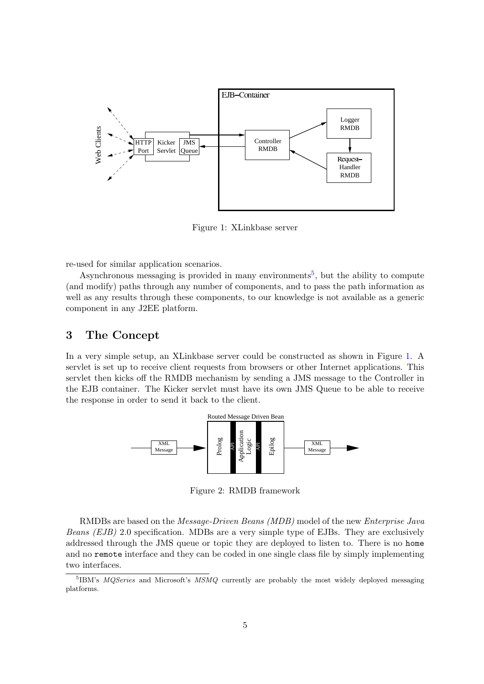<span id="page-4-0"></span>

Figure 1: XLinkbase server

re-used for similar application scenarios.

Asynchronous messaging is provided in many environments<sup>5</sup>, but the ability to compute (and modify) paths through any number of components, and to pass the path information as well as any results through these components, to our knowledge is not available as a generic component in any J2EE platform.

# 3 The Concept

In a very simple setup, an XLinkbase server could be constructed as shown in Figure 1. A servlet is set up to receive client requests from browsers or other Internet applications. This servlet then kicks off the RMDB mechanism by sending a JMS message to the Controller in the EJB container. The Kicker servlet must have its own JMS Queue to be able to receive the response in order to send it back to the client.



Figure 2: RMDB framework

RMDBs are based on the Message-Driven Beans (MDB) model of the new Enterprise Java Beans (EJB) 2.0 specification. MDBs are a very simple type of EJBs. They are exclusively addressed through the JMS queue or topic they are deployed to listen to. There is no home and no remote interface and they can be coded in one single class file by simply implementing two interfaces.

<sup>&</sup>lt;sup>5</sup>IBM's *MQSeries* and Microsoft's *MSMQ* currently are probably the most widely deployed messaging platforms.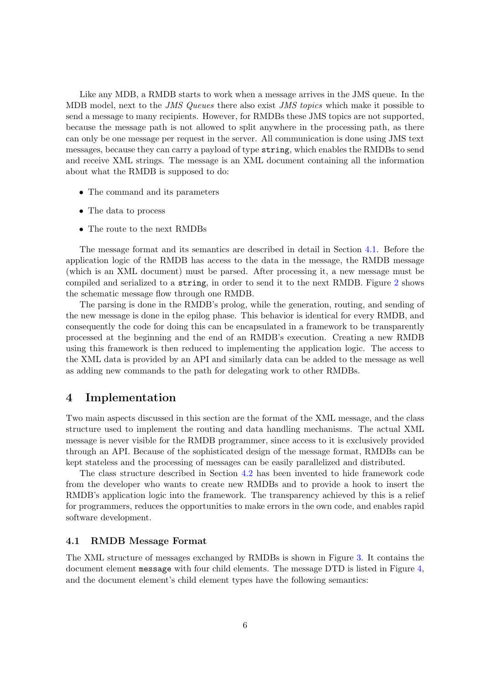<span id="page-5-0"></span>Like any MDB, a RMDB starts to work when a message arrives in the JMS queue. In the MDB model, next to the *JMS Queues* there also exist *JMS topics* which make it possible to send a message to many recipients. However, for RMDBs these JMS topics are not supported, because the message path is not allowed to split anywhere in the processing path, as there can only be one message per request in the server. All communication is done using JMS text messages, because they can carry a payload of type string, which enables the RMDBs to send and receive XML strings. The message is an XML document containing all the information about what the RMDB is supposed to do:

- The command and its parameters
- The data to process
- The route to the next RMDBs

The message format and its semantics are described in detail in Section 4.1. Before the application logic of the RMDB has access to the data in the message, the RMDB message (which is an XML document) must be parsed. After processing it, a new message must be compiled and serialized to a string, in order to send it to the next RMDB. Figure [2](#page-4-0) shows the schematic message flow through one RMDB.

The parsing is done in the RMDB's prolog, while the generation, routing, and sending of the new message is done in the epilog phase. This behavior is identical for every RMDB, and consequently the code for doing this can be encapsulated in a framework to be transparently processed at the beginning and the end of an RMDB's execution. Creating a new RMDB using this framework is then reduced to implementing the application logic. The access to the XML data is provided by an API and similarly data can be added to the message as well as adding new commands to the path for delegating work to other RMDBs.

### 4 Implementation

Two main aspects discussed in this section are the format of the XML message, and the class structure used to implement the routing and data handling mechanisms. The actual XML message is never visible for the RMDB programmer, since access to it is exclusively provided through an API. Because of the sophisticated design of the message format, RMDBs can be kept stateless and the processing of messages can be easily parallelized and distributed.

The class structure described in Section [4.2](#page-7-0) has been invented to hide framework code from the developer who wants to create new RMDBs and to provide a hook to insert the RMDB's application logic into the framework. The transparency achieved by this is a relief for programmers, reduces the opportunities to make errors in the own code, and enables rapid software development.

#### 4.1 RMDB Message Format

The XML structure of messages exchanged by RMDBs is shown in Figure [3.](#page-6-0) It contains the document element message with four child elements. The message DTD is listed in Figure [4,](#page-6-0) and the document element's child element types have the following semantics: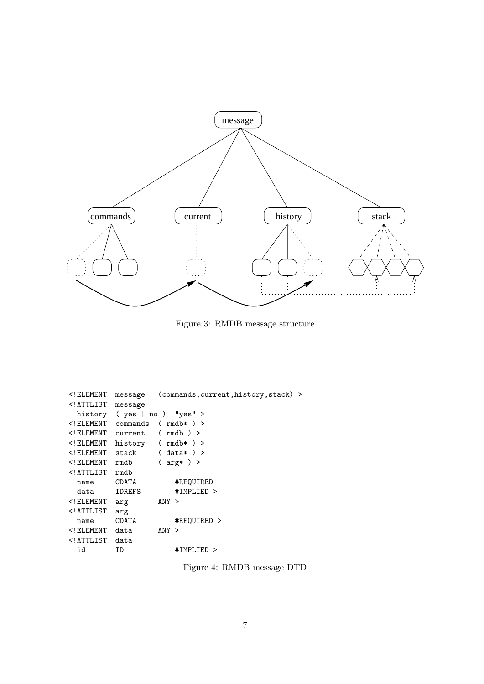<span id="page-6-0"></span>

Figure 3: RMDB message structure

| ELEMENT</th <th>message</th> <th>(commands, current, history, stack) &gt;</th> | message                     | (commands, current, history, stack) > |  |
|--------------------------------------------------------------------------------|-----------------------------|---------------------------------------|--|
| ATTLIST</td <td colspan="3">message</td>                                       | message                     |                                       |  |
|                                                                                | history (yes   no ) "yes" > |                                       |  |
| $\leq$ ! ELEMENT                                                               | $(rmdb*)$<br>commands       |                                       |  |
| $\overline{\phantom{0}}$ ( $\overline{\phantom{0}}$ ELEMENT                    | current                     | (mdb)                                 |  |
| ELEMENT</td <td>history <math>(\text{rm}) &gt;</math></td> <td></td>           | history $(\text{rm}) >$     |                                       |  |
| $\overline{<}$ ! ELEMENT                                                       | stack $(data*)$ >           |                                       |  |
| $\overline{<}$ ! ELEMENT                                                       | rmdb                        | $\left($ arg $\ast$ $\right)$ >       |  |
| ATTLIST</td <td>rmdb</td> <td></td>                                            | rmdb                        |                                       |  |
| name                                                                           | CDATA                       | #REQUIRED                             |  |
| data                                                                           | IDREFS                      | #IMPLIED >                            |  |
| $\overline{<}$ ! ELEMENT                                                       | arg                         | ANY >                                 |  |
| ATTLIST</td <td>arg</td> <td></td>                                             | arg                         |                                       |  |
| name                                                                           | CDATA                       | #REQUIRED >                           |  |
| $\overline{\phantom{0}}$ ( $\overline{\phantom{0}}$ ELEMENT                    | data                        | ANY >                                 |  |
| ATTLIST</td <td>data</td> <td></td>                                            | data                        |                                       |  |
| id                                                                             | ID                          | #IMPLIED >                            |  |

Figure 4: RMDB message DTD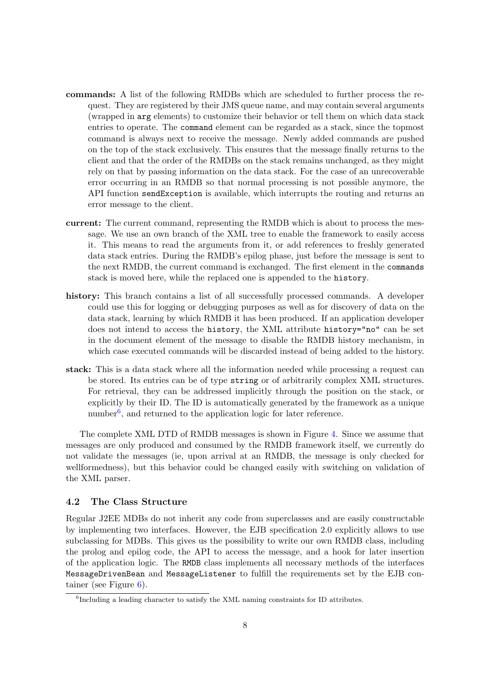- <span id="page-7-0"></span>commands: A list of the following RMDBs which are scheduled to further process the request. They are registered by their JMS queue name, and may contain several arguments (wrapped in arg elements) to customize their behavior or tell them on which data stack entries to operate. The command element can be regarded as a stack, since the topmost command is always next to receive the message. Newly added commands are pushed on the top of the stack exclusively. This ensures that the message finally returns to the client and that the order of the RMDBs on the stack remains unchanged, as they might rely on that by passing information on the data stack. For the case of an unrecoverable error occurring in an RMDB so that normal processing is not possible anymore, the API function sendException is available, which interrupts the routing and returns an error message to the client.
- current: The current command, representing the RMDB which is about to process the message. We use an own branch of the XML tree to enable the framework to easily access it. This means to read the arguments from it, or add references to freshly generated data stack entries. During the RMDB's epilog phase, just before the message is sent to the next RMDB, the current command is exchanged. The first element in the commands stack is moved here, while the replaced one is appended to the history.
- history: This branch contains a list of all successfully processed commands. A developer could use this for logging or debugging purposes as well as for discovery of data on the data stack, learning by which RMDB it has been produced. If an application developer does not intend to access the history, the XML attribute history="no" can be set in the document element of the message to disable the RMDB history mechanism, in which case executed commands will be discarded instead of being added to the history.
- stack: This is a data stack where all the information needed while processing a request can be stored. Its entries can be of type string or of arbitrarily complex XML structures. For retrieval, they can be addressed implicitly through the position on the stack, or explicitly by their ID. The ID is automatically generated by the framework as a unique number<sup>6</sup>, and returned to the application logic for later reference.

The complete XML DTD of RMDB messages is shown in Figure [4.](#page-6-0) Since we assume that messages are only produced and consumed by the RMDB framework itself, we currently do not validate the messages (ie, upon arrival at an RMDB, the message is only checked for wellformedness), but this behavior could be changed easily with switching on validation of the XML parser.

#### 4.2 The Class Structure

Regular J2EE MDBs do not inherit any code from superclasses and are easily constructable by implementing two interfaces. However, the EJB specification 2.0 explicitly allows to use subclassing for MDBs. This gives us the possibility to write our own RMDB class, including the prolog and epilog code, the API to access the message, and a hook for later insertion of the application logic. The RMDB class implements all necessary methods of the interfaces MessageDrivenBean and MessageListener to fulfill the requirements set by the EJB container (see Figure [6\)](#page-8-0).

<sup>&</sup>lt;sup>6</sup>Including a leading character to satisfy the XML naming constraints for ID attributes.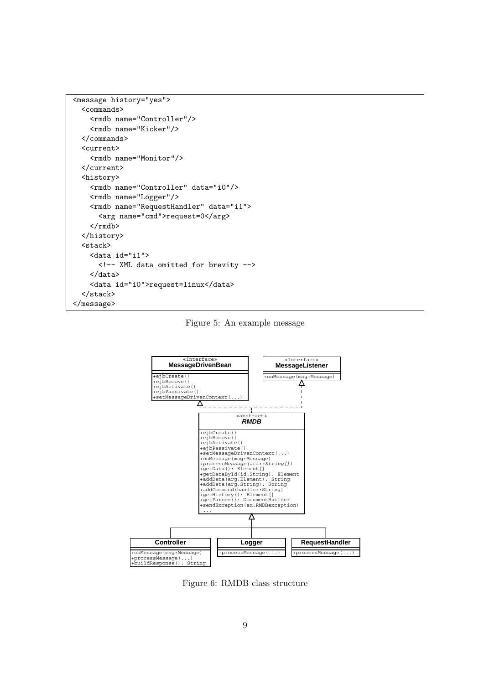```
<message history="yes">
 <commands>
    <rmdb name="Controller"/>
    <rmdb name="Kicker"/>
 </commands>
 <current>
    <rmdb name="Monitor"/>
 </current>
  <history>
    <rmdb name="Controller" data="i0"/>
    <rmdb name="Logger"/>
    <rmdb name="RequestHandler" data="i1">
      <arg name="cmd">request=0</arg>
    \langle/rmdb>
 </history>
 <stack>
    <data id="i1">
      <!-- XML data omitted for brevity -->
    </data>
    <data id="i0">request=linux</data>
  </stack>
</message>
```
Figure 5: An example message



Figure 6: RMDB class structure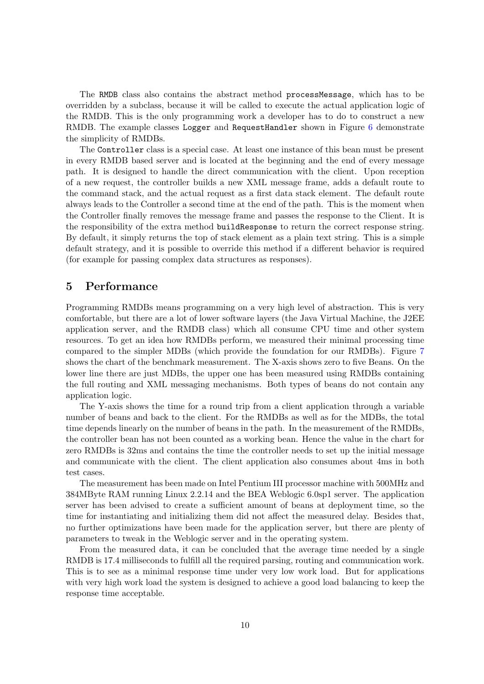<span id="page-9-0"></span>The RMDB class also contains the abstract method processMessage, which has to be overridden by a subclass, because it will be called to execute the actual application logic of the RMDB. This is the only programming work a developer has to do to construct a new RMDB. The example classes Logger and RequestHandler shown in Figure [6](#page-8-0) demonstrate the simplicity of RMDBs.

The Controller class is a special case. At least one instance of this bean must be present in every RMDB based server and is located at the beginning and the end of every message path. It is designed to handle the direct communication with the client. Upon reception of a new request, the controller builds a new XML message frame, adds a default route to the command stack, and the actual request as a first data stack element. The default route always leads to the Controller a second time at the end of the path. This is the moment when the Controller finally removes the message frame and passes the response to the Client. It is the responsibility of the extra method buildResponse to return the correct response string. By default, it simply returns the top of stack element as a plain text string. This is a simple default strategy, and it is possible to override this method if a different behavior is required (for example for passing complex data structures as responses).

#### 5 Performance

Programming RMDBs means programming on a very high level of abstraction. This is very comfortable, but there are a lot of lower software layers (the Java Virtual Machine, the J2EE application server, and the RMDB class) which all consume CPU time and other system resources. To get an idea how RMDBs perform, we measured their minimal processing time compared to the simpler MDBs (which provide the foundation for our RMDBs). Figure [7](#page-10-0) shows the chart of the benchmark measurement. The X-axis shows zero to five Beans. On the lower line there are just MDBs, the upper one has been measured using RMDBs containing the full routing and XML messaging mechanisms. Both types of beans do not contain any application logic.

The Y-axis shows the time for a round trip from a client application through a variable number of beans and back to the client. For the RMDBs as well as for the MDBs, the total time depends linearly on the number of beans in the path. In the measurement of the RMDBs, the controller bean has not been counted as a working bean. Hence the value in the chart for zero RMDBs is 32ms and contains the time the controller needs to set up the initial message and communicate with the client. The client application also consumes about 4ms in both test cases.

The measurement has been made on Intel Pentium III processor machine with 500MHz and 384MByte RAM running Linux 2.2.14 and the BEA Weblogic 6.0sp1 server. The application server has been advised to create a sufficient amount of beans at deployment time, so the time for instantiating and initializing them did not affect the measured delay. Besides that, no further optimizations have been made for the application server, but there are plenty of parameters to tweak in the Weblogic server and in the operating system.

From the measured data, it can be concluded that the average time needed by a single RMDB is 17.4 milliseconds to fulfill all the required parsing, routing and communication work. This is to see as a minimal response time under very low work load. But for applications with very high work load the system is designed to achieve a good load balancing to keep the response time acceptable.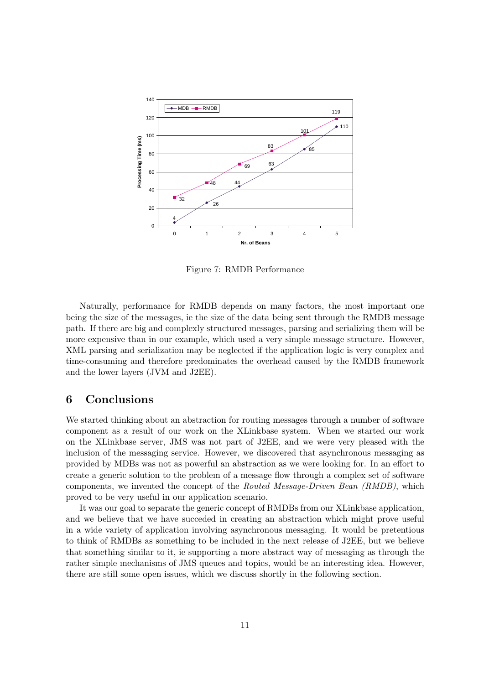<span id="page-10-0"></span>

Figure 7: RMDB Performance

Naturally, performance for RMDB depends on many factors, the most important one being the size of the messages, ie the size of the data being sent through the RMDB message path. If there are big and complexly structured messages, parsing and serializing them will be more expensive than in our example, which used a very simple message structure. However, XML parsing and serialization may be neglected if the application logic is very complex and time-consuming and therefore predominates the overhead caused by the RMDB framework and the lower layers (JVM and J2EE).

## 6 Conclusions

We started thinking about an abstraction for routing messages through a number of software component as a result of our work on the XLinkbase system. When we started our work on the XLinkbase server, JMS was not part of J2EE, and we were very pleased with the inclusion of the messaging service. However, we discovered that asynchronous messaging as provided by MDBs was not as powerful an abstraction as we were looking for. In an effort to create a generic solution to the problem of a message flow through a complex set of software components, we invented the concept of the Routed Message-Driven Bean (RMDB), which proved to be very useful in our application scenario.

It was our goal to separate the generic concept of RMDBs from our XLinkbase application, and we believe that we have succeded in creating an abstraction which might prove useful in a wide variety of application involving asynchronous messaging. It would be pretentious to think of RMDBs as something to be included in the next release of J2EE, but we believe that something similar to it, ie supporting a more abstract way of messaging as through the rather simple mechanisms of JMS queues and topics, would be an interesting idea. However, there are still some open issues, which we discuss shortly in the following section.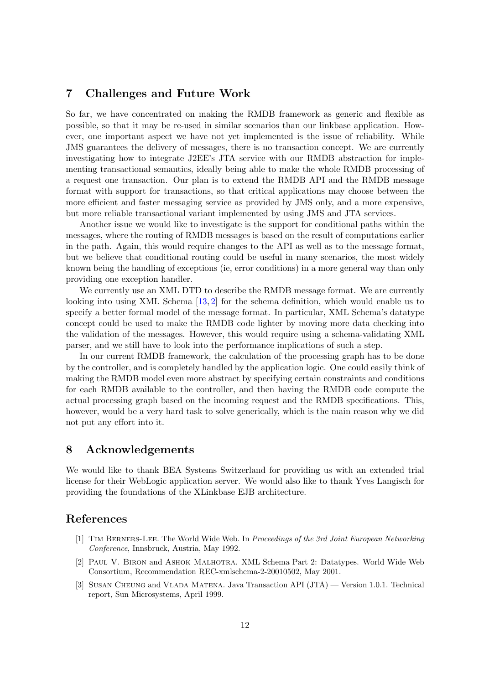#### <span id="page-11-0"></span>7 Challenges and Future Work

So far, we have concentrated on making the RMDB framework as generic and flexible as possible, so that it may be re-used in similar scenarios than our linkbase application. However, one important aspect we have not yet implemented is the issue of reliability. While JMS guarantees the delivery of messages, there is no transaction concept. We are currently investigating how to integrate J2EE's JTA service with our RMDB abstraction for implementing transactional semantics, ideally being able to make the whole RMDB processing of a request one transaction. Our plan is to extend the RMDB API and the RMDB message format with support for transactions, so that critical applications may choose between the more efficient and faster messaging service as provided by JMS only, and a more expensive, but more reliable transactional variant implemented by using JMS and JTA services.

Another issue we would like to investigate is the support for conditional paths within the messages, where the routing of RMDB messages is based on the result of computations earlier in the path. Again, this would require changes to the API as well as to the message format, but we believe that conditional routing could be useful in many scenarios, the most widely known being the handling of exceptions (ie, error conditions) in a more general way than only providing one exception handler.

We currently use an XML DTD to describe the RMDB message format. We are currently looking into using XML Schema [\[13,](#page-12-0) 2] for the schema definition, which would enable us to specify a better formal model of the message format. In particular, XML Schema's datatype concept could be used to make the RMDB code lighter by moving more data checking into the validation of the messages. However, this would require using a schema-validating XML parser, and we still have to look into the performance implications of such a step.

In our current RMDB framework, the calculation of the processing graph has to be done by the controller, and is completely handled by the application logic. One could easily think of making the RMDB model even more abstract by specifying certain constraints and conditions for each RMDB available to the controller, and then having the RMDB code compute the actual processing graph based on the incoming request and the RMDB specifications. This, however, would be a very hard task to solve generically, which is the main reason why we did not put any effort into it.

# 8 Acknowledgements

We would like to thank BEA Systems Switzerland for providing us with an extended trial license for their WebLogic application server. We would also like to thank Yves Langisch for providing the foundations of the XLinkbase EJB architecture.

### References

- [1] Tim Berners-Lee. The World Wide Web. In Proceedings of the 3rd Joint European Networking Conference, Innsbruck, Austria, May 1992.
- [2] Paul V. Biron and Ashok Malhotra. XML Schema Part 2: Datatypes. World Wide Web Consortium, Recommendation REC-xmlschema-2-20010502, May 2001.
- [3] Susan Cheung and Vlada Matena. Java Transaction API (JTA) Version 1.0.1. Technical report, Sun Microsystems, April 1999.